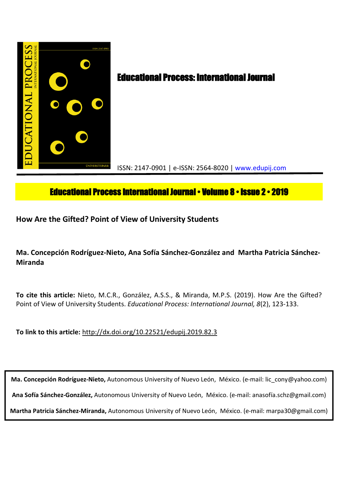

# **Educational Process International Journal • Volume 8 • Issue 2 • 2019**

**How Are the Gifted? Point of View of University Students**

**Ma. Concepción Rodríguez-Nieto, Ana Sofía Sánchez-González and Martha Patricia Sánchez-Miranda**

**To cite this article:** Nieto, M.C.R., González, A.S.S., & Miranda, M.P.S. (2019). How Are the Gifted? Point of View of University Students. *Educational Process: International Journal, 8*(2), 123-133.

**To link to this article:** http://dx.doi.org/10.22521/edupij.2019.82.3

**Ma. Concepción Rodríguez-Nieto,** Autonomous University of Nuevo León, México. (e-mail: lic\_cony@yahoo.com)

**Ana Sofía Sánchez-González,** Autonomous University of Nuevo León, México. (e-mail: anasofía.schz@gmail.com)

**Martha Patricia Sánchez-Miranda,** Autonomous University of Nuevo León, México. (e-mail: marpa30@gmail.com)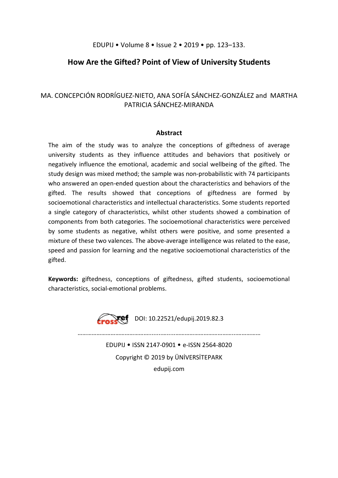## EDUPIJ • Volume 8 • Issue 2 • 2019 • pp. 123–133.

# **How Are the Gifted? Point of View of University Students**

# MA. CONCEPCIÓN RODRÍGUEZ-NIETO, ANA SOFÍA SÁNCHEZ-GONZÁLEZ and MARTHA PATRICIA SÁNCHEZ-MIRANDA

#### **Abstract**

The aim of the study was to analyze the conceptions of giftedness of average university students as they influence attitudes and behaviors that positively or negatively influence the emotional, academic and social wellbeing of the gifted. The study design was mixed method; the sample was non-probabilistic with 74 participants who answered an open-ended question about the characteristics and behaviors of the gifted. The results showed that conceptions of giftedness are formed by socioemotional characteristics and intellectual characteristics. Some students reported a single category of characteristics, whilst other students showed a combination of components from both categories. The socioemotional characteristics were perceived by some students as negative, whilst others were positive, and some presented a mixture of these two valences. The above-average intelligence was related to the ease, speed and passion for learning and the negative socioemotional characteristics of the gifted.

**Keywords:** giftedness, conceptions of giftedness, gifted students, socioemotional characteristics, social-emotional problems.



 $\sqrt{e}$  DOI: 10.22521/edupij.2019.82.3

………………………………………........….....………………………………...……………

EDUPIJ • ISSN 2147-0901 • e-ISSN 2564-8020 Copyright © 2019 by ÜNİVERSİTEPARK edupij.com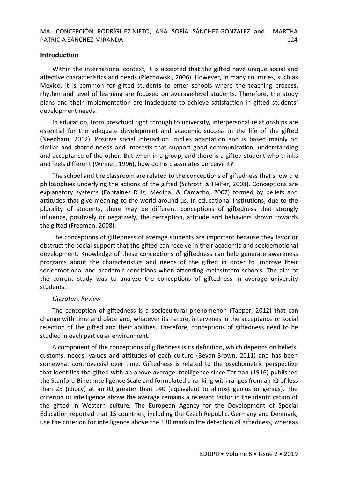### **Introduction**

Within the international context, it is accepted that the gifted have unique social and affective characteristics and needs (Piechowski, 2006). However, in many countries, such as Mexico, it is common for gifted students to enter schools where the teaching process, rhythm and level of learning are focused on average-level students. Therefore, the study plans and their implementation are inadequate to achieve satisfaction in gifted students' development needs.

In education, from preschool right through to university, interpersonal relationships are essential for the adequate development and academic success in the life of the gifted (Needham, 2012). Positive social interaction implies adaptation and is based mainly on similar and shared needs and interests that support good communication, understanding and acceptance of the other. But when in a group, and there is a gifted student who thinks and feels different (Winner, 1996), how do his classmates perceive it?

The school and the classroom are related to the conceptions of giftedness that show the philosophies underlying the actions of the gifted (Schroth & Helfer, 2008). Conceptions are explanatory systems (Fontaines Ruiz, Medina, & Camacho, 2007) formed by beliefs and attitudes that give meaning to the world around us. In educational institutions, due to the plurality of students, there may be different conceptions of giftedness that strongly influence, positively or negatively, the perception, attitude and behaviors shown towards the gifted (Freeman, 2008).

The conceptions of giftedness of average students are important because they favor or obstruct the social support that the gifted can receive in their academic and socioemotional development. Knowledge of these conceptions of giftedness can help generate awareness programs about the characteristics and needs of the gifted in order to improve their socioemotional and academic conditions when attending mainstream schools. The aim of the current study was to analyze the conceptions of giftedness in average university students.

#### *Literature Review*

The conception of giftedness is a sociocultural phenomenon (Tapper, 2012) that can change with time and place and, whatever its nature, intervenes in the acceptance or social rejection of the gifted and their abilities. Therefore, conceptions of giftedness need to be studied in each particular environment.

A component of the conceptions of giftedness is its definition, which depends on beliefs, customs, needs, values and attitudes of each culture (Bevan-Brown, 2011) and has been somewhat controversial over time. Giftedness is related to the psychometric perspective that identifies the gifted with an above average intelligence since Terman (1916) published the Stanford-Binet Intelligence Scale and formulated a ranking with ranges from an IQ of less than 25 (idiocy) at an IQ greater than 140 (equivalent to almost genius or genius). The criterion of intelligence above the average remains a relevant factor in the identification of the gifted in Western culture. The European Agency for the Development of Special Education reported that 15 countries, including the Czech Republic, Germany and Denmark, use the criterion for intelligence above the 130 mark in the detection of giftedness, whereas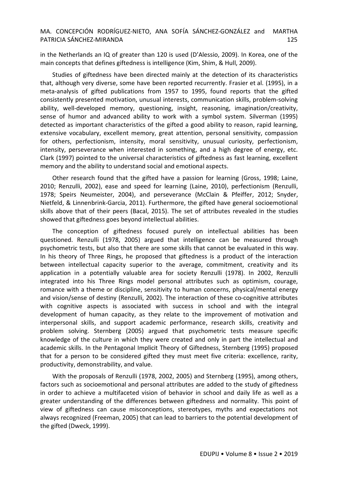in the Netherlands an IQ of greater than 120 is used (D'Alessio, 2009). In Korea, one of the main concepts that defines giftedness is intelligence (Kim, Shim, & Hull, 2009).

Studies of giftedness have been directed mainly at the detection of its characteristics that, although very diverse, some have been reported recurrently. Frasier et al. (1995), in a meta-analysis of gifted publications from 1957 to 1995, found reports that the gifted consistently presented motivation, unusual interests, communication skills, problem-solving ability, well-developed memory, questioning, insight, reasoning, imagination/creativity, sense of humor and advanced ability to work with a symbol system. Silverman (1995) detected as important characteristics of the gifted a good ability to reason, rapid learning, extensive vocabulary, excellent memory, great attention, personal sensitivity, compassion for others, perfectionism, intensity, moral sensitivity, unusual curiosity, perfectionism, intensity, perseverance when interested in something, and a high degree of energy, etc. Clark (1997) pointed to the universal characteristics of giftedness as fast learning, excellent memory and the ability to understand social and emotional aspects.

Other research found that the gifted have a passion for learning (Gross, 1998; Laine, 2010; Renzulli, 2002), ease and speed for learning (Laine, 2010), perfectionism (Renzulli, 1978; Speirs Neumeister, 2004), and perseverance (McClain & Pfeiffer, 2012; Snyder, Nietfeld, & Linnenbrink-Garcia, 2011). Furthermore, the gifted have general socioemotional skills above that of their peers (Bacal, 2015). The set of attributes revealed in the studies showed that giftedness goes beyond intellectual abilities.

The conception of giftedness focused purely on intellectual abilities has been questioned. Renzulli (1978, 2005) argued that intelligence can be measured through psychometric tests, but also that there are some skills that cannot be evaluated in this way. In his theory of Three Rings, he proposed that giftedness is a product of the interaction between intellectual capacity superior to the average, commitment, creativity and its application in a potentially valuable area for society Renzulli (1978). In 2002, Renzulli integrated into his Three Rings model personal attributes such as optimism, courage, romance with a theme or discipline, sensitivity to human concerns, physical/mental energy and vision/sense of destiny (Renzulli, 2002). The interaction of these co-cognitive attributes with cognitive aspects is associated with success in school and with the integral development of human capacity, as they relate to the improvement of motivation and interpersonal skills, and support academic performance, research skills, creativity and problem solving. Sternberg (2005) argued that psychometric tests measure specific knowledge of the culture in which they were created and only in part the intellectual and academic skills. In the Pentagonal Implicit Theory of Giftedness, Sternberg (1995) proposed that for a person to be considered gifted they must meet five criteria: excellence, rarity, productivity, demonstrability, and value.

With the proposals of Renzulli (1978, 2002, 2005) and Sternberg (1995), among others, factors such as socioemotional and personal attributes are added to the study of giftedness in order to achieve a multifaceted vision of behavior in school and daily life as well as a greater understanding of the differences between giftedness and normality. This point of view of giftedness can cause misconceptions, stereotypes, myths and expectations not always recognized (Freeman, 2005) that can lead to barriers to the potential development of the gifted (Dweck, 1999).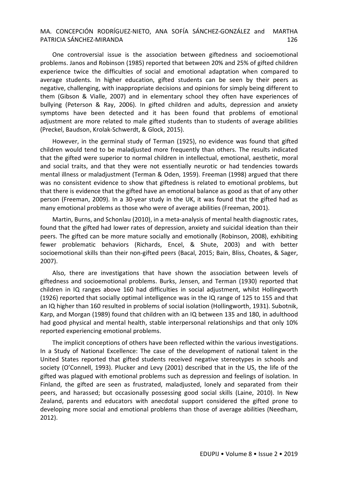One controversial issue is the association between giftedness and socioemotional problems. Janos and Robinson (1985) reported that between 20% and 25% of gifted children experience twice the difficulties of social and emotional adaptation when compared to average students. In higher education, gifted students can be seen by their peers as negative, challenging, with inappropriate decisions and opinions for simply being different to them (Gibson & Vialle, 2007) and in elementary school they often have experiences of bullying (Peterson & Ray, 2006). In gifted children and adults, depression and anxiety symptoms have been detected and it has been found that problems of emotional adjustment are more related to male gifted students than to students of average abilities (Preckel, Baudson, Krolak-Schwerdt, & Glock, 2015).

However, in the germinal study of Terman (1925), no evidence was found that gifted children would tend to be maladjusted more frequently than others. The results indicated that the gifted were superior to normal children in intellectual, emotional, aesthetic, moral and social traits, and that they were not essentially neurotic or had tendencies towards mental illness or maladjustment (Terman & Oden, 1959). Freeman (1998) argued that there was no consistent evidence to show that giftedness is related to emotional problems, but that there is evidence that the gifted have an emotional balance as good as that of any other person (Freeman, 2009). In a 30-year study in the UK, it was found that the gifted had as many emotional problems as those who were of average abilities (Freeman, 2001).

Martin, Burns, and Schonlau (2010), in a meta-analysis of mental health diagnostic rates, found that the gifted had lower rates of depression, anxiety and suicidal ideation than their peers. The gifted can be more mature socially and emotionally (Robinson, 2008), exhibiting fewer problematic behaviors (Richards, Encel, & Shute, 2003) and with better socioemotional skills than their non-gifted peers (Bacal, 2015; Bain, Bliss, Choates, & Sager, 2007).

Also, there are investigations that have shown the association between levels of giftedness and socioemotional problems. Burks, Jensen, and Terman (1930) reported that children in IQ ranges above 160 had difficulties in social adjustment, whilst Hollingworth (1926) reported that socially optimal intelligence was in the IQ range of 125 to 155 and that an IQ higher than 160 resulted in problems of social isolation (Hollingworth, 1931). Subotnik, Karp, and Morgan (1989) found that children with an IQ between 135 and 180, in adulthood had good physical and mental health, stable interpersonal relationships and that only 10% reported experiencing emotional problems.

The implicit conceptions of others have been reflected within the various investigations. In a Study of National Excellence: The case of the development of national talent in the United States reported that gifted students received negative stereotypes in schools and society (O'Connell, 1993). Plucker and Levy (2001) described that in the US, the life of the gifted was plagued with emotional problems such as depression and feelings of isolation. In Finland, the gifted are seen as frustrated, maladjusted, lonely and separated from their peers, and harassed; but occasionally possessing good social skills (Laine, 2010). In New Zealand, parents and educators with anecdotal support considered the gifted prone to developing more social and emotional problems than those of average abilities (Needham, 2012).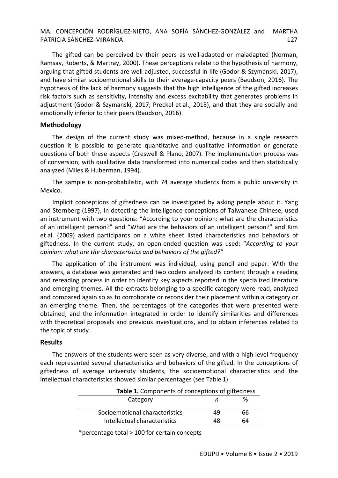The gifted can be perceived by their peers as well-adapted or maladapted (Norman, Ramsay, Roberts, & Martray, 2000). These perceptions relate to the hypothesis of harmony, arguing that gifted students are well-adjusted, successful in life (Godor & Szymanski, 2017), and have similar socioemotional skills to their average-capacity peers (Baudson, 2016). The hypothesis of the lack of harmony suggests that the high intelligence of the gifted increases risk factors such as sensitivity, intensity and excess excitability that generates problems in adjustment (Godor & Szymanski, 2017; Preckel et al., 2015), and that they are socially and emotionally inferior to their peers (Baudson, 2016).

#### **Methodology**

The design of the current study was mixed-method, because in a single research question it is possible to generate quantitative and qualitative information or generate questions of both these aspects (Creswell & Plano, 2007). The implementation process was of conversion, with qualitative data transformed into numerical codes and then statistically analyzed (Miles & Huberman, 1994).

The sample is non-probabilistic, with 74 average students from a public university in Mexico.

Implicit conceptions of giftedness can be investigated by asking people about it. Yang and Sternberg (1997), in detecting the intelligence conceptions of Taiwanese Chinese, used an instrument with two questions: "According to your opinion: what are the characteristics of an intelligent person?" and "What are the behaviors of an intelligent person?" and Kim et al. (2009) asked participants on a white sheet listed characteristics and behaviors of giftedness. In the current study, an open-ended question was used: "*According to your opinion: what are the characteristics and behaviors of the gifted?"*

The application of the instrument was individual, using pencil and paper. With the answers, a database was generated and two coders analyzed its content through a reading and rereading process in order to identify key aspects reported in the specialized literature and emerging themes. All the extracts belonging to a specific category were read, analyzed and compared again so as to corroborate or reconsider their placement within a category or an emerging theme. Then, the percentages of the categories that were presented were obtained, and the information integrated in order to identify similarities and differences with theoretical proposals and previous investigations, and to obtain inferences related to the topic of study.

#### **Results**

The answers of the students were seen as very diverse, and with a high-level frequency each represented several characteristics and behaviors of the gifted. In the conceptions of giftedness of average university students, the socioemotional characteristics and the intellectual characteristics showed similar percentages (see Table 1).

| <b>Table 1.</b> Components of conceptions of giftedness |    |  |  |
|---------------------------------------------------------|----|--|--|
|                                                         | %  |  |  |
| 49                                                      | 66 |  |  |
| 48                                                      | 64 |  |  |
|                                                         |    |  |  |

\*percentage total > 100 for certain concepts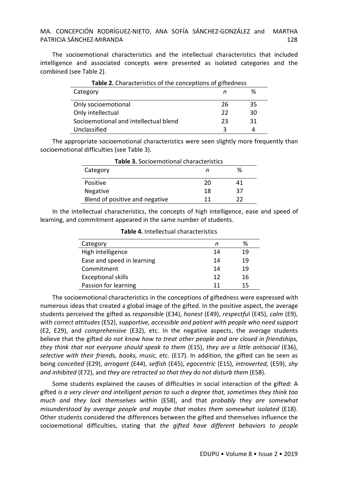The socioemotional characteristics and the intellectual characteristics that included intelligence and associated concepts were presented as isolated categories and the combined (see Table 2).

| Table 2. Characteristics of the conceptions of giftedness |    |    |  |
|-----------------------------------------------------------|----|----|--|
| Category                                                  |    | %  |  |
| Only socioemotional                                       | 26 | 35 |  |
| Only intellectual                                         | 22 | 30 |  |
| Socioemotional and intellectual blend                     | 23 | 31 |  |
| Unclassified                                              | ર  |    |  |

The appropriate socioemotional characteristics were seen slightly more frequently than socioemotional difficulties (see Table 3).

| Table 3. Socioemotional characteristics |    |    |  |
|-----------------------------------------|----|----|--|
| Category                                | n  | ℅  |  |
| Positive                                | 20 | 41 |  |
| <b>Negative</b>                         | 18 | 37 |  |
| Blend of positive and negative          | 11 | つつ |  |

In the intellectual characteristics, the concepts of high intelligence, ease and speed of learning, and commitment appeared in the same number of students.

| Category                   |    | %  |
|----------------------------|----|----|
| High intelligence          | 14 | 19 |
| Ease and speed in learning | 14 | 19 |
| Commitment                 | 14 | 19 |
| <b>Exceptional skills</b>  | 12 | 16 |
| Passion for learning       | 11 | 15 |

**Table 4.** Intellectual characteristics

The socioemotional characteristics in the conceptions of giftedness were expressed with numerous ideas that created a global image of the gifted. In the positive aspect, the average students perceived the gifted as *responsible* (E34), *honest* (E49), *respectfu*l (E45), *calm* (E9), with *correct attitudes* (E52), *supportive, accessible and patient with people who need support* (E2, E29), and *comprehensive* (E32), etc. In the negative aspects, the average students believe that the gifted *do not know how to treat other people and are closed in friendships, they think that not everyone should speak to them* (E15), *they are a little antisocial* (E36), *selective with their friends, books, music, etc.* (E17). In addition, the gifted can be seen as being *conceited* (E29), *arrogant* (E44), *selfish* (E45), *egocentric* (E15), *introverted,* (E59), *shy and inhibited* (E72), and *they are retracted so that they do not disturb them* (E58).

Some students explained the causes of difficulties in social interaction of the gifted: A gifted *is a very clever and intelligent person to such a degree that, sometimes they think too much and they lock themselves within* (E58), and that *probably they are somewhat misunderstood by average people and maybe that makes them somewhat isolated* (E18). Other students considered the differences between the gifted and themselves influence the socioemotional difficulties, stating that *the gifted have different behaviors to people*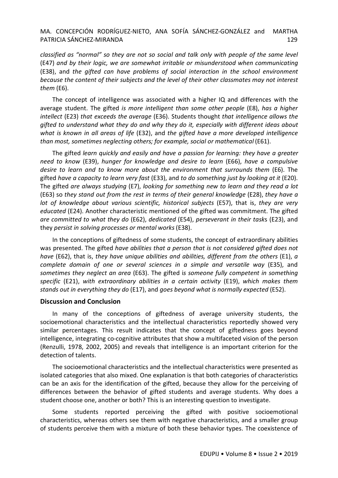*classified as "normal" so they are not so social and talk only with people of the same level* (E47) *and by their logic, we are somewhat irritable or misunderstood when communicating* (E38), and *the gifted can have problems of social interaction in the school environment because the content of their subjects and the level of their other classmates may not interest them* (E6).

The concept of intelligence was associated with a higher IQ and differences with the average student. The gifted *is more intelligent than some other people* (E8), *has a higher intellect* (E23) *that exceeds the average* (E36). Students thought *that intelligence allows the gifted to understand what they do and why they do it, especially with different ideas about what is known in all areas of life* (E32), and *the gifted have a more developed intelligence than most, sometimes neglecting others; for example, social or mathematical* (E61).

The gifted *learn quickly and easily and have a passion for learning: they have a greater need to know* (E39), *hunger for knowledge and desire to learn* (E66), *have a compulsive desire to learn and to know more about the environment that surrounds them* (E6). The gifted *have a capacity to learn very fast* (E33), and *to do something just by looking at it* (E20). The gifted *are always studying* (E7), *looking for something new to learn and they read a lot*  (E63) so *they stand out from the rest in terms of their general knowledge* (E28), *they have a lot of knowledge about various scientific, historical subjects* (E57), that is, *they are very educated* (E24). Another characteristic mentioned of the gifted was commitment. The gifted *are committed to what they do* (E62), *dedicated* (E54), *perseverant in their task*s (E23), and they *persist in solving processes or mental works* (E38).

In the conceptions of giftedness of some students, the concept of extraordinary abilities was presented. The gifted *have abilities that a person that is not considered gifted does not have* (E62), that is, *they have unique abilities and abilities, different from the others* (E1), *a complete domain of one or several sciences in a simple and versatile way* (E35), and *sometimes they neglect an area* (E63). The gifted i*s someone fully competent in something specific* (E21), *with extraordinary abilities in a certain activity* (E19), *which makes them stands out in everything they do* (E17), and *goes beyond what is normally expected* (E52).

#### **Discussion and Conclusion**

In many of the conceptions of giftedness of average university students, the socioemotional characteristics and the intellectual characteristics reportedly showed very similar percentages. This result indicates that the concept of giftedness goes beyond intelligence, integrating co-cognitive attributes that show a multifaceted vision of the person (Renzulli, 1978, 2002, 2005) and reveals that intelligence is an important criterion for the detection of talents.

The socioemotional characteristics and the intellectual characteristics were presented as isolated categories that also mixed. One explanation is that both categories of characteristics can be an axis for the identification of the gifted, because they allow for the perceiving of differences between the behavior of gifted students and average students. Why does a student choose one, another or both? This is an interesting question to investigate.

Some students reported perceiving the gifted with positive socioemotional characteristics, whereas others see them with negative characteristics, and a smaller group of students perceive them with a mixture of both these behavior types. The coexistence of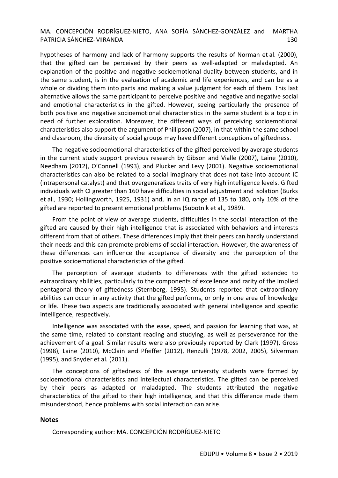hypotheses of harmony and lack of harmony supports the results of Norman et al. (2000), that the gifted can be perceived by their peers as well-adapted or maladapted. An explanation of the positive and negative socioemotional duality between students, and in the same student, is in the evaluation of academic and life experiences, and can be as a whole or dividing them into parts and making a value judgment for each of them. This last alternative allows the same participant to perceive positive and negative and negative social and emotional characteristics in the gifted. However, seeing particularly the presence of both positive and negative socioemotional characteristics in the same student is a topic in need of further exploration. Moreover, the different ways of perceiving socioemotional characteristics also support the argument of Phillipson (2007), in that within the same school and classroom, the diversity of social groups may have different conceptions of giftedness.

The negative socioemotional characteristics of the gifted perceived by average students in the current study support previous research by Gibson and Vialle (2007), Laine (2010), Needham (2012), O'Connell (1993), and Plucker and Levy (2001). Negative socioemotional characteristics can also be related to a social imaginary that does not take into account IC (intrapersonal catalyst) and that overgeneralizes traits of very high intelligence levels. Gifted individuals with CI greater than 160 have difficulties in social adjustment and isolation (Burks et al., 1930; Hollingworth, 1925, 1931) and, in an IQ range of 135 to 180, only 10% of the gifted are reported to present emotional problems (Subotnik et al., 1989).

From the point of view of average students, difficulties in the social interaction of the gifted are caused by their high intelligence that is associated with behaviors and interests different from that of others. These differences imply that their peers can hardly understand their needs and this can promote problems of social interaction. However, the awareness of these differences can influence the acceptance of diversity and the perception of the positive socioemotional characteristics of the gifted.

The perception of average students to differences with the gifted extended to extraordinary abilities, particularly to the components of excellence and rarity of the implied pentagonal theory of giftedness (Sternberg, 1995). Students reported that extraordinary abilities can occur in any activity that the gifted performs, or only in one area of knowledge or life. These two aspects are traditionally associated with general intelligence and specific intelligence, respectively.

Intelligence was associated with the ease, speed, and passion for learning that was, at the same time, related to constant reading and studying, as well as perseverance for the achievement of a goal. Similar results were also previously reported by Clark (1997), Gross (1998), Laine (2010), McClain and Pfeiffer (2012), Renzulli (1978, 2002, 2005), Silverman (1995), and Snyder et al. (2011).

The conceptions of giftedness of the average university students were formed by socioemotional characteristics and intellectual characteristics. The gifted can be perceived by their peers as adapted or maladapted. The students attributed the negative characteristics of the gifted to their high intelligence, and that this difference made them misunderstood, hence problems with social interaction can arise.

#### **Notes**

Corresponding author: MA. CONCEPCIÓN RODRÍGUEZ-NIETO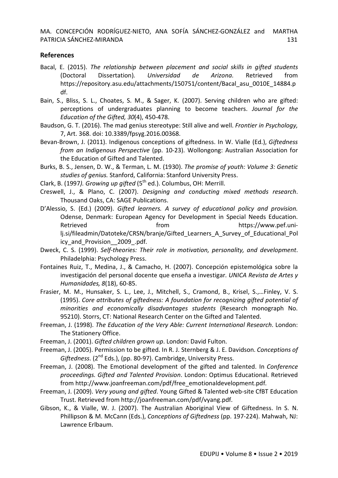## **References**

- Bacal, E. (2015). *The relationship between placement and social skills in gifted students*  (Doctoral Dissertation)*. Universidad de Arizona.* Retrieved from https://repository.asu.edu/attachments/150751/content/Bacal\_asu\_0010E\_14884.p df.
- Bain, S., Bliss, S. L., Choates, S. M., & Sager, K. (2007). Serving children who are gifted: perceptions of undergraduates planning to become teachers. *Journal for the Education of the Gifted, 30*(4), 450-478.
- Baudson, G. T. (2016). The mad genius stereotype: Still alive and well. *Frontier in Psychology,* 7, Art. 368. doi: 10.3389/fpsyg.2016.00368.
- Bevan-Brown, J. (2011). Indigenous conceptions of giftedness. In W. Vialle (Ed.), *Giftedness from an Indigenous Perspective* (pp. 10-23). Wollongong: Australian Association for the Education of Gifted and Talented.
- Burks, B. S., Jensen, D. W., & Terman, L. M. (1930). *The promise of youth: Volume 3: Genetic studies of genius.* Stanford, California: Stanford University Press.
- Clark, B. (1997). Growing up gifted (5<sup>th</sup> ed.). Columbus, OH: Merrill.
- Creswell, J., & Plano, C. (2007). *Designing and conducting mixed methods research*. Thousand Oaks, CA: SAGE Publications.
- D'Alessio, S. (Ed.) (2009). *Gifted learners. A survey of educational policy and provision.* Odense, Denmark: European Agency for Development in Special Needs Education. Retrieved **from** from https://www.pef.unilj.si/fileadmin/Datoteke/CRSN/branje/Gifted Learners A Survey of Educational Pol icy\_and\_Provision\_\_2009\_.pdf.
- Dweck, C. S. (1999). *Self-theories: Their role in motivation, personality, and development*. Philadelphia: Psychology Press.
- Fontaines Ruiz, T., Medina, J., & Camacho, H. (2007). Concepción epistemológica sobre la investigación del personal docente que enseña a investigar. *UNICA Revista de Artes y Humanidades, 8*(18), 60-85.
- Frasier, M. M., Hunsaker, S. L., Lee, J., Mitchell, S., Cramond, B., Krisel, S.,…Finley, V. S. (1995). *Core attributes of giftedness: A foundation for recognizing gifted potential of minorities and economically disadvantages students* (Research monograph No. 95210). Storrs, CT: National Research Center on the Gifted and Talented.
- Freeman, J. (1998). *The Education of the Very Able: Current International Research*. London: The Stationery Office.
- Freeman, J. (2001). *Gifted children grown up*. London: David Fulton.
- Freeman, J. (2005). Permission to be gifted. In R. J. Sternberg & J. E. Davidson. *Conceptions of*  Giftedness. (2<sup>nd</sup> Eds.), (pp. 80-97). Cambridge, University Press.
- Freeman, J. (2008). The Emotional development of the gifted and talented. In *Conference proceedings. Gifted and Talented Provision*. London: Optimus Educational. Retrieved from http://www.joanfreeman.com/pdf/free\_emotionaldevelopment.pdf.
- Freeman, J. (2009). *Very young and gifted*. Young Gifted & Talented web-site CfBT Education Trust. Retrieved from http://joanfreeman.com/pdf/vyang.pdf.
- Gibson, K., & Vialle, W. J. (2007). The Australian Aboriginal View of Giftedness. In S. N. Phillipson & M. McCann (Eds.), *Conceptions of Giftedness* (pp. 197-224). Mahwah, NJ: Lawrence Erlbaum.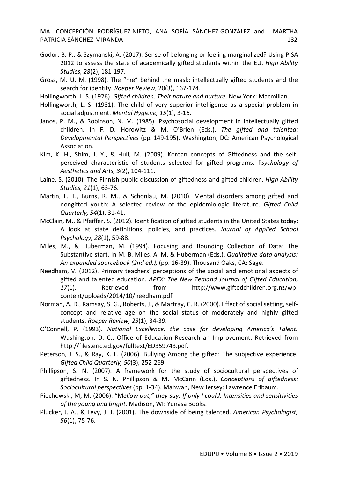- Godor, B. P., & Szymanski, A. (2017). Sense of belonging or feeling marginalized? Using PISA 2012 to assess the state of academically gifted students within the EU. *High Ability Studies, 28*(2), 181-197.
- Gross, M. U. M. (1998). The "me" behind the mask: intellectually gifted students and the search for identity. *Roeper Review*, 20(3), 167-174.
- Hollingworth, L. S. (1926). *Gifted children: Their nature and nurture*. New York: Macmillan.
- Hollingworth, L. S. (1931). The child of very superior intelligence as a special problem in social adjustment. *Mental Hygiene, 15*(1), 3-16.
- Janos, P. M., & Robinson, N. M. (1985). Psychosocial development in intellectually gifted children. In F. D. Horowitz & M. O'Brien (Eds.), *The gifted and talented: Developmental Perspectives* (pp*.* 149-195). Washington, DC: American Psychological Association.
- Kim, K. H., Shim, J. Y., & Hull, M. (2009). Korean concepts of Giftedness and the selfperceived characteristic of students selected for gifted programs. P*sychology of Aesthetics and Arts, 3*(2), 104-111.
- Laine, S. (2010). The Finnish public discussion of giftedness and gifted children. *High Ability Studies, 21*(1), 63-76.
- Martin, L. T., Burns, R. M., & Schonlau, M. (2010). Mental disorders among gifted and nongifted youth: A selected review of the epidemiologic literature. *Gifted Child Quarterly, 54*(1), 31-41.
- McClain, M., & Pfeiffer, S. (2012). Identification of gifted students in the United States today: A look at state definitions, policies, and practices. *Journal of Applied School Psychology, 28*(1), 59-88.
- Miles, M., & Huberman, M. (1994). Focusing and Bounding Collection of Data: The Substantive start. In M. B. Miles, A. M. & Huberman (Eds.), *Qualitative data analysis: An expanded sourcebook (2nd ed.),* (pp. 16-39). Thousand Oaks, CA: Sage.
- Needham, V. (2012). Primary teachers' perceptions of the social and emotional aspects of gifted and talented education. *APEX: The New Zealand Journal of Gifted Education, 17*(1). Retrieved from http://www.giftedchildren.org.nz/wpcontent/uploads/2014/10/needham.pdf.
- Norman, A. D., Ramsay, S. G., Roberts, J., & Martray, C. R. (2000). Effect of social setting, selfconcept and relative age on the social status of moderately and highly gifted students. *Roeper Review, 23*(1), 34-39.
- O'Connell, P. (1993). *National Excellence: the case for developing America's Talent.*  Washington, D. C.: Office of Education Research an Improvement. Retrieved from http://files.eric.ed.gov/fulltext/ED359743.pdf.
- Peterson, J. S., & Ray, K. E. (2006). Bullying Among the gifted: The subjective experience. *Gifted Child Quarterly, 50*(3)*,* 252-269.
- Phillipson, S. N. (2007). A framework for the study of sociocultural perspectives of giftedness. In S. N. Phillipson & M. McCann (Eds.), *Conceptions of giftedness: Sociocultural perspectives* (pp. 1-34). Mahwah, New Jersey: Lawrence Erlbaum.
- Piechowski, M, M. (2006). "M*ellow out," they say. If only I could: Intensities and sensitivities of the young and bright.* Madison, WI: Yunasa Books.
- Plucker, J. A., & Levy, J. J. (2001). The downside of being talented. *American Psychologist, 56*(1), 75-76.